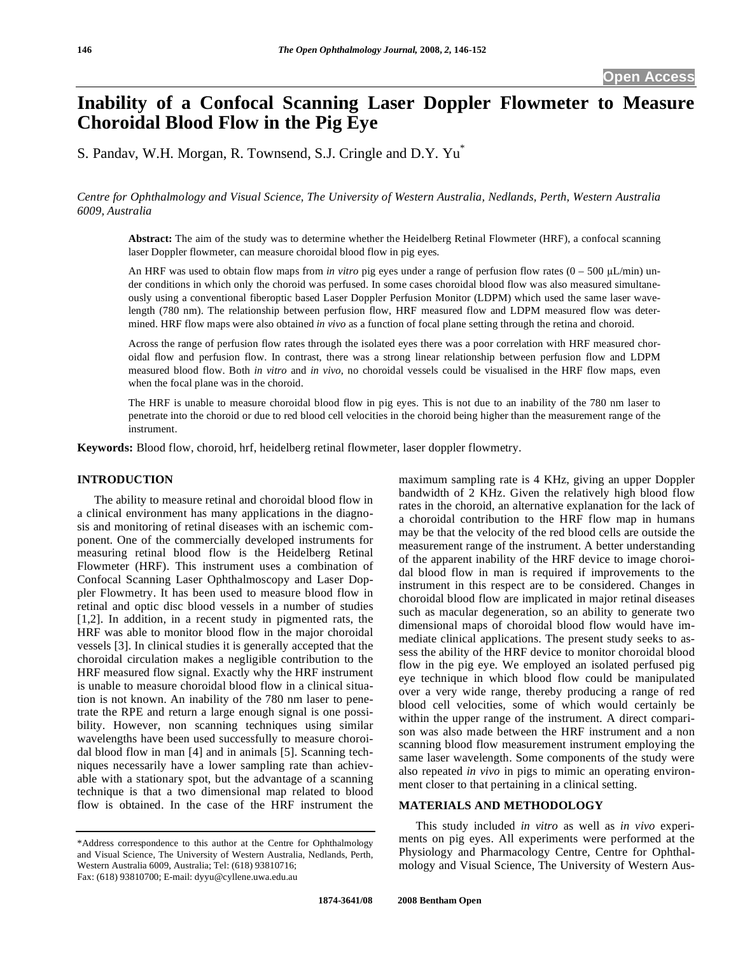# **Inability of a Confocal Scanning Laser Doppler Flowmeter to Measure Choroidal Blood Flow in the Pig Eye**

S. Pandav, W.H. Morgan, R. Townsend, S.J. Cringle and D.Y. Yu\*

*Centre for Ophthalmology and Visual Science, The University of Western Australia, Nedlands, Perth, Western Australia 6009, Australia* 

**Abstract:** The aim of the study was to determine whether the Heidelberg Retinal Flowmeter (HRF), a confocal scanning laser Doppler flowmeter, can measure choroidal blood flow in pig eyes.

An HRF was used to obtain flow maps from *in vitro* pig eyes under a range of perfusion flow rates  $(0 - 500 \mu L/min)$  under conditions in which only the choroid was perfused. In some cases choroidal blood flow was also measured simultaneously using a conventional fiberoptic based Laser Doppler Perfusion Monitor (LDPM) which used the same laser wavelength (780 nm). The relationship between perfusion flow, HRF measured flow and LDPM measured flow was determined. HRF flow maps were also obtained *in vivo* as a function of focal plane setting through the retina and choroid.

Across the range of perfusion flow rates through the isolated eyes there was a poor correlation with HRF measured choroidal flow and perfusion flow. In contrast, there was a strong linear relationship between perfusion flow and LDPM measured blood flow. Both *in vitro* and *in vivo*, no choroidal vessels could be visualised in the HRF flow maps, even when the focal plane was in the choroid.

The HRF is unable to measure choroidal blood flow in pig eyes. This is not due to an inability of the 780 nm laser to penetrate into the choroid or due to red blood cell velocities in the choroid being higher than the measurement range of the instrument.

**Keywords:** Blood flow, choroid, hrf, heidelberg retinal flowmeter, laser doppler flowmetry.

# **INTRODUCTION**

 The ability to measure retinal and choroidal blood flow in a clinical environment has many applications in the diagnosis and monitoring of retinal diseases with an ischemic component. One of the commercially developed instruments for measuring retinal blood flow is the Heidelberg Retinal Flowmeter (HRF). This instrument uses a combination of Confocal Scanning Laser Ophthalmoscopy and Laser Doppler Flowmetry. It has been used to measure blood flow in retinal and optic disc blood vessels in a number of studies [1,2]. In addition, in a recent study in pigmented rats, the HRF was able to monitor blood flow in the major choroidal vessels [3]. In clinical studies it is generally accepted that the choroidal circulation makes a negligible contribution to the HRF measured flow signal. Exactly why the HRF instrument is unable to measure choroidal blood flow in a clinical situation is not known. An inability of the 780 nm laser to penetrate the RPE and return a large enough signal is one possibility. However, non scanning techniques using similar wavelengths have been used successfully to measure choroidal blood flow in man [4] and in animals [5]. Scanning techniques necessarily have a lower sampling rate than achievable with a stationary spot, but the advantage of a scanning technique is that a two dimensional map related to blood flow is obtained. In the case of the HRF instrument the

maximum sampling rate is 4 KHz, giving an upper Doppler bandwidth of 2 KHz. Given the relatively high blood flow rates in the choroid, an alternative explanation for the lack of a choroidal contribution to the HRF flow map in humans may be that the velocity of the red blood cells are outside the measurement range of the instrument. A better understanding of the apparent inability of the HRF device to image choroidal blood flow in man is required if improvements to the instrument in this respect are to be considered. Changes in choroidal blood flow are implicated in major retinal diseases such as macular degeneration, so an ability to generate two dimensional maps of choroidal blood flow would have immediate clinical applications. The present study seeks to assess the ability of the HRF device to monitor choroidal blood flow in the pig eye. We employed an isolated perfused pig eye technique in which blood flow could be manipulated over a very wide range, thereby producing a range of red blood cell velocities, some of which would certainly be within the upper range of the instrument. A direct comparison was also made between the HRF instrument and a non scanning blood flow measurement instrument employing the same laser wavelength. Some components of the study were also repeated *in vivo* in pigs to mimic an operating environment closer to that pertaining in a clinical setting.

# **MATERIALS AND METHODOLOGY**

 This study included *in vitro* as well as *in vivo* experiments on pig eyes. All experiments were performed at the Physiology and Pharmacology Centre, Centre for Ophthalmology and Visual Science, The University of Western Aus-

<sup>\*</sup>Address correspondence to this author at the Centre for Ophthalmology and Visual Science, The University of Western Australia, Nedlands, Perth, Western Australia 6009, Australia; Tel: (618) 93810716; Fax: (618) 93810700; E-mail: dyyu@cyllene.uwa.edu.au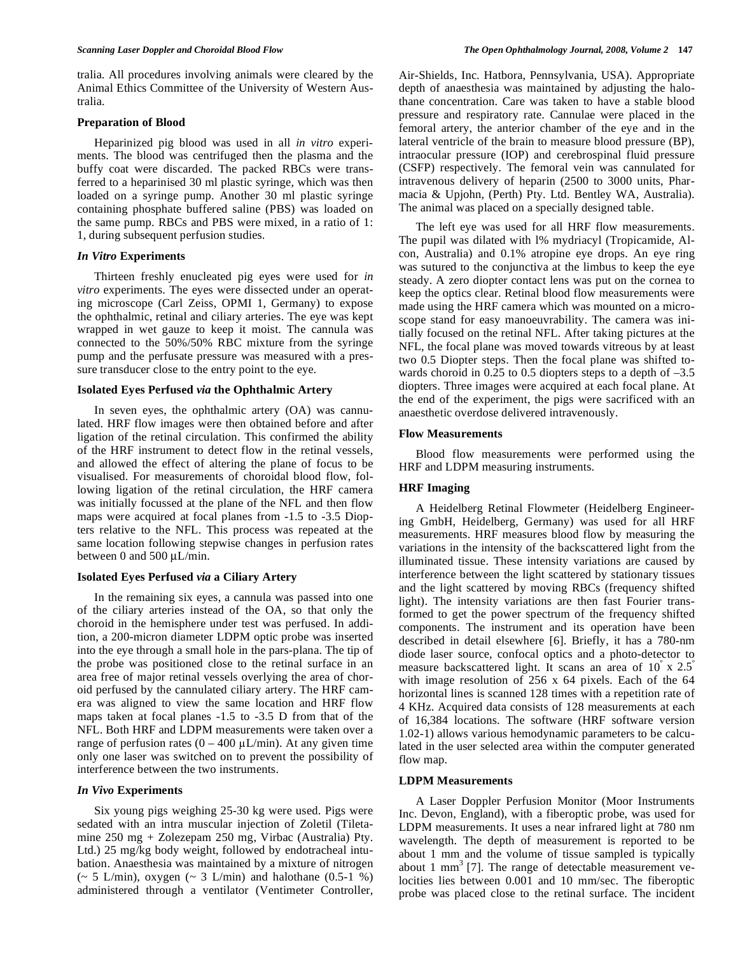tralia. All procedures involving animals were cleared by the Animal Ethics Committee of the University of Western Australia.

## **Preparation of Blood**

 Heparinized pig blood was used in all *in vitro* experiments. The blood was centrifuged then the plasma and the buffy coat were discarded. The packed RBCs were transferred to a heparinised 30 ml plastic syringe, which was then loaded on a syringe pump. Another 30 ml plastic syringe containing phosphate buffered saline (PBS) was loaded on the same pump. RBCs and PBS were mixed, in a ratio of 1: 1, during subsequent perfusion studies.

# *In Vitro* **Experiments**

 Thirteen freshly enucleated pig eyes were used for *in vitro* experiments. The eyes were dissected under an operating microscope (Carl Zeiss, OPMI 1, Germany) to expose the ophthalmic, retinal and ciliary arteries. The eye was kept wrapped in wet gauze to keep it moist. The cannula was connected to the 50%/50% RBC mixture from the syringe pump and the perfusate pressure was measured with a pressure transducer close to the entry point to the eye.

#### **Isolated Eyes Perfused** *via* **the Ophthalmic Artery**

 In seven eyes, the ophthalmic artery (OA) was cannulated. HRF flow images were then obtained before and after ligation of the retinal circulation. This confirmed the ability of the HRF instrument to detect flow in the retinal vessels, and allowed the effect of altering the plane of focus to be visualised. For measurements of choroidal blood flow, following ligation of the retinal circulation, the HRF camera was initially focussed at the plane of the NFL and then flow maps were acquired at focal planes from -1.5 to -3.5 Diopters relative to the NFL. This process was repeated at the same location following stepwise changes in perfusion rates between 0 and 500 μL/min.

# **Isolated Eyes Perfused** *via* **a Ciliary Artery**

 In the remaining six eyes, a cannula was passed into one of the ciliary arteries instead of the OA, so that only the choroid in the hemisphere under test was perfused. In addition, a 200-micron diameter LDPM optic probe was inserted into the eye through a small hole in the pars-plana. The tip of the probe was positioned close to the retinal surface in an area free of major retinal vessels overlying the area of choroid perfused by the cannulated ciliary artery. The HRF camera was aligned to view the same location and HRF flow maps taken at focal planes -1.5 to -3.5 D from that of the NFL. Both HRF and LDPM measurements were taken over a range of perfusion rates  $(0 - 400 \mu L/min)$ . At any given time only one laser was switched on to prevent the possibility of interference between the two instruments.

# *In Vivo* **Experiments**

 Six young pigs weighing 25-30 kg were used. Pigs were sedated with an intra muscular injection of Zoletil (Tiletamine 250 mg + Zolezepam 250 mg, Virbac (Australia) Pty. Ltd.) 25 mg/kg body weight, followed by endotracheal intubation. Anaesthesia was maintained by a mixture of nitrogen ( $\sim$  5 L/min), oxygen ( $\sim$  3 L/min) and halothane (0.5-1 %) administered through a ventilator (Ventimeter Controller, Air-Shields, Inc. Hatbora, Pennsylvania, USA). Appropriate depth of anaesthesia was maintained by adjusting the halothane concentration. Care was taken to have a stable blood pressure and respiratory rate. Cannulae were placed in the femoral artery, the anterior chamber of the eye and in the lateral ventricle of the brain to measure blood pressure (BP), intraocular pressure (IOP) and cerebrospinal fluid pressure (CSFP) respectively. The femoral vein was cannulated for intravenous delivery of heparin (2500 to 3000 units, Pharmacia & Upjohn, (Perth) Pty. Ltd. Bentley WA, Australia). The animal was placed on a specially designed table.

 The left eye was used for all HRF flow measurements. The pupil was dilated with l% mydriacyl (Tropicamide, Alcon, Australia) and 0.1% atropine eye drops. An eye ring was sutured to the conjunctiva at the limbus to keep the eye steady. A zero diopter contact lens was put on the cornea to keep the optics clear. Retinal blood flow measurements were made using the HRF camera which was mounted on a microscope stand for easy manoeuvrability. The camera was initially focused on the retinal NFL. After taking pictures at the NFL, the focal plane was moved towards vitreous by at least two 0.5 Diopter steps. Then the focal plane was shifted towards choroid in 0.25 to 0.5 diopters steps to a depth of  $-3.5$ diopters. Three images were acquired at each focal plane. At the end of the experiment, the pigs were sacrificed with an anaesthetic overdose delivered intravenously.

#### **Flow Measurements**

 Blood flow measurements were performed using the HRF and LDPM measuring instruments.

#### **HRF Imaging**

 A Heidelberg Retinal Flowmeter (Heidelberg Engineering GmbH, Heidelberg, Germany) was used for all HRF measurements. HRF measures blood flow by measuring the variations in the intensity of the backscattered light from the illuminated tissue. These intensity variations are caused by interference between the light scattered by stationary tissues and the light scattered by moving RBCs (frequency shifted light). The intensity variations are then fast Fourier transformed to get the power spectrum of the frequency shifted components. The instrument and its operation have been described in detail elsewhere [6]. Briefly, it has a 780-nm diode laser source, confocal optics and a photo-detector to measure backscattered light. It scans an area of 10° x 2.5° with image resolution of 256 x 64 pixels. Each of the 64 horizontal lines is scanned 128 times with a repetition rate of 4 KHz. Acquired data consists of 128 measurements at each of 16,384 locations. The software (HRF software version 1.02-1) allows various hemodynamic parameters to be calculated in the user selected area within the computer generated flow map.

#### **LDPM Measurements**

 A Laser Doppler Perfusion Monitor (Moor Instruments Inc. Devon, England), with a fiberoptic probe, was used for LDPM measurements. It uses a near infrared light at 780 nm wavelength. The depth of measurement is reported to be about 1 mm and the volume of tissue sampled is typically about 1 mm<sup>3</sup> [7]. The range of detectable measurement velocities lies between 0.001 and 10 mm/sec. The fiberoptic probe was placed close to the retinal surface. The incident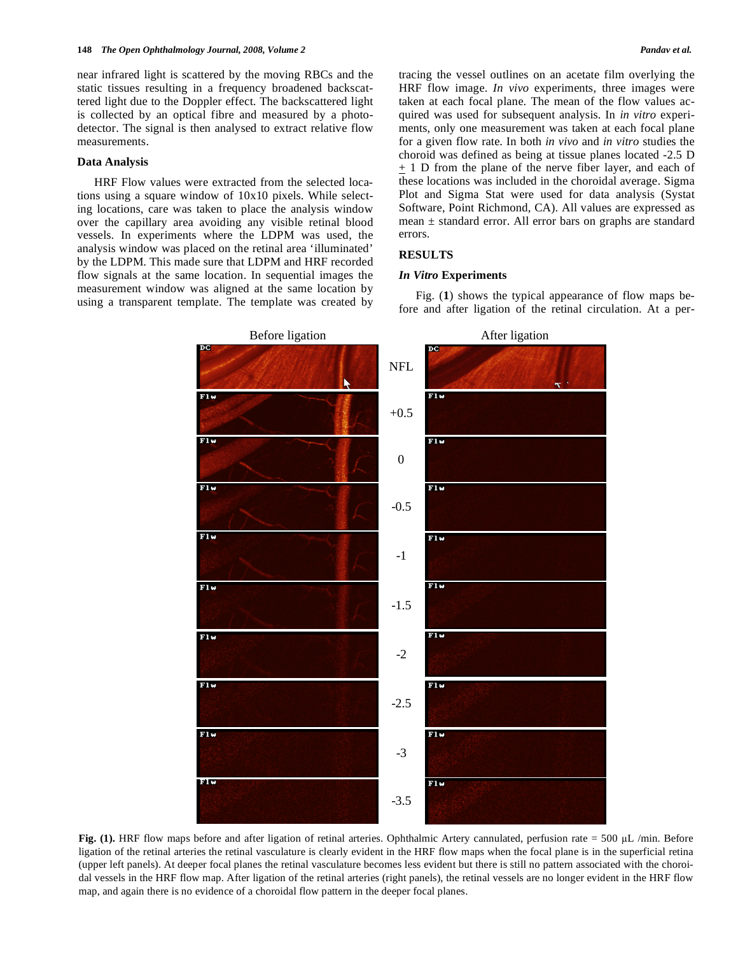near infrared light is scattered by the moving RBCs and the static tissues resulting in a frequency broadened backscattered light due to the Doppler effect. The backscattered light is collected by an optical fibre and measured by a photodetector. The signal is then analysed to extract relative flow measurements.

#### **Data Analysis**

 HRF Flow values were extracted from the selected locations using a square window of 10x10 pixels. While selecting locations, care was taken to place the analysis window over the capillary area avoiding any visible retinal blood vessels. In experiments where the LDPM was used, the analysis window was placed on the retinal area 'illuminated' by the LDPM. This made sure that LDPM and HRF recorded flow signals at the same location. In sequential images the measurement window was aligned at the same location by using a transparent template. The template was created by tracing the vessel outlines on an acetate film overlying the HRF flow image. *In vivo* experiments, three images were taken at each focal plane. The mean of the flow values acquired was used for subsequent analysis. In *in vitro* experiments, only one measurement was taken at each focal plane for a given flow rate. In both *in vivo* and *in vitro* studies the choroid was defined as being at tissue planes located -2.5 D + 1 D from the plane of the nerve fiber layer, and each of these locations was included in the choroidal average. Sigma Plot and Sigma Stat were used for data analysis (Systat Software, Point Richmond, CA). All values are expressed as mean  $\pm$  standard error. All error bars on graphs are standard errors.

#### **RESULTS**

#### *In Vitro* **Experiments**

 Fig. (**1**) shows the typical appearance of flow maps before and after ligation of the retinal circulation. At a per-



**Fig. (1).** HRF flow maps before and after ligation of retinal arteries. Ophthalmic Artery cannulated, perfusion rate = 500 µL /min. Before ligation of the retinal arteries the retinal vasculature is clearly evident in the HRF flow maps when the focal plane is in the superficial retina (upper left panels). At deeper focal planes the retinal vasculature becomes less evident but there is still no pattern associated with the choroidal vessels in the HRF flow map. After ligation of the retinal arteries (right panels), the retinal vessels are no longer evident in the HRF flow map, and again there is no evidence of a choroidal flow pattern in the deeper focal planes.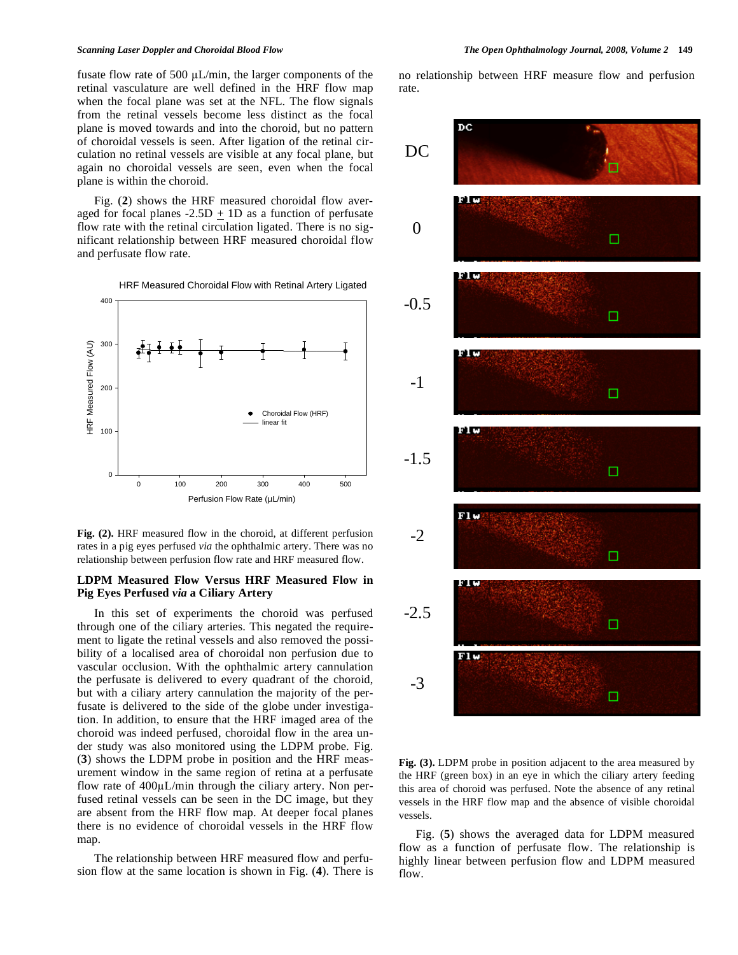fusate flow rate of 500  $\mu$ L/min, the larger components of the retinal vasculature are well defined in the HRF flow map when the focal plane was set at the NFL. The flow signals from the retinal vessels become less distinct as the focal plane is moved towards and into the choroid, but no pattern of choroidal vessels is seen. After ligation of the retinal circulation no retinal vessels are visible at any focal plane, but again no choroidal vessels are seen, even when the focal plane is within the choroid.

 Fig. (**2**) shows the HRF measured choroidal flow averaged for focal planes  $-2.5D + 1D$  as a function of perfusate flow rate with the retinal circulation ligated. There is no significant relationship between HRF measured choroidal flow and perfusate flow rate.



**Fig. (2).** HRF measured flow in the choroid, at different perfusion rates in a pig eyes perfused *via* the ophthalmic artery. There was no relationship between perfusion flow rate and HRF measured flow.

#### **LDPM Measured Flow Versus HRF Measured Flow in Pig Eyes Perfused** *via* **a Ciliary Artery**

 In this set of experiments the choroid was perfused through one of the ciliary arteries. This negated the requirement to ligate the retinal vessels and also removed the possibility of a localised area of choroidal non perfusion due to vascular occlusion. With the ophthalmic artery cannulation the perfusate is delivered to every quadrant of the choroid, but with a ciliary artery cannulation the majority of the perfusate is delivered to the side of the globe under investigation. In addition, to ensure that the HRF imaged area of the choroid was indeed perfused, choroidal flow in the area under study was also monitored using the LDPM probe. Fig. (**3**) shows the LDPM probe in position and the HRF measurement window in the same region of retina at a perfusate flow rate of  $400\mu L/min$  through the ciliary artery. Non perfused retinal vessels can be seen in the DC image, but they are absent from the HRF flow map. At deeper focal planes there is no evidence of choroidal vessels in the HRF flow map.

 The relationship between HRF measured flow and perfusion flow at the same location is shown in Fig. (**4**). There is no relationship between HRF measure flow and perfusion rate.



**Fig. (3).** LDPM probe in position adjacent to the area measured by the HRF (green box) in an eye in which the ciliary artery feeding this area of choroid was perfused. Note the absence of any retinal vessels in the HRF flow map and the absence of visible choroidal vessels.

 Fig. (**5**) shows the averaged data for LDPM measured flow as a function of perfusate flow. The relationship is highly linear between perfusion flow and LDPM measured flow.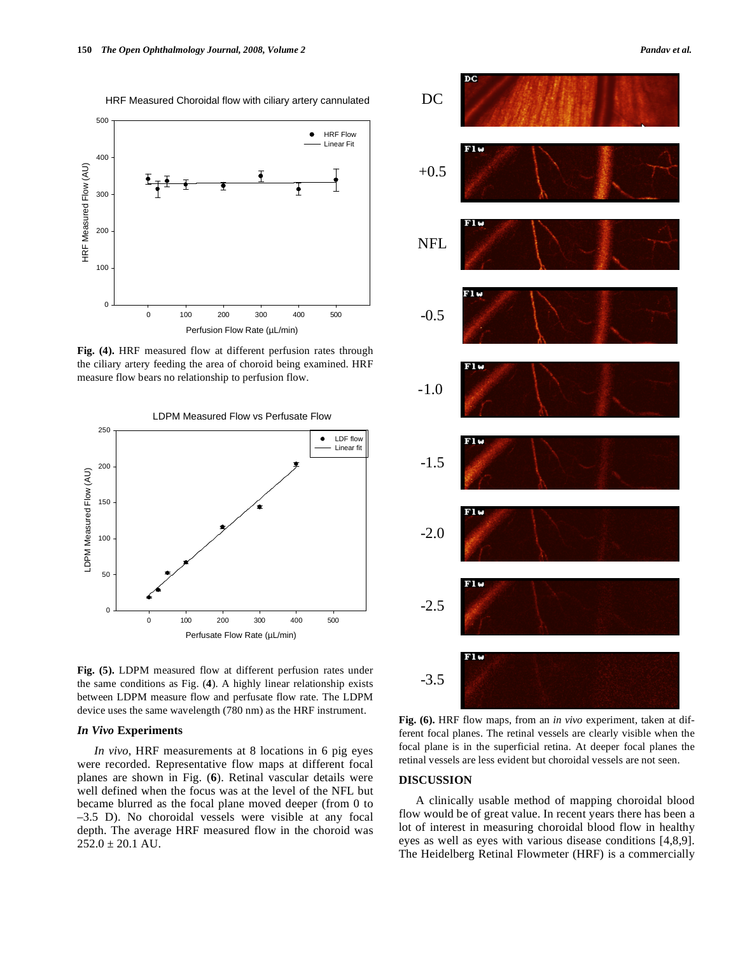HRF Measured Choroidal flow with ciliary artery cannulated



**Fig. (4).** HRF measured flow at different perfusion rates through the ciliary artery feeding the area of choroid being examined. HRF measure flow bears no relationship to perfusion flow.



**Fig. (5).** LDPM measured flow at different perfusion rates under the same conditions as Fig. (**4**). A highly linear relationship exists between LDPM measure flow and perfusate flow rate. The LDPM device uses the same wavelength (780 nm) as the HRF instrument.

#### *In Vivo* **Experiments**

 *In vivo*, HRF measurements at 8 locations in 6 pig eyes were recorded. Representative flow maps at different focal planes are shown in Fig. (**6**). Retinal vascular details were well defined when the focus was at the level of the NFL but became blurred as the focal plane moved deeper (from 0 to –3.5 D). No choroidal vessels were visible at any focal depth. The average HRF measured flow in the choroid was  $252.0 \pm 20.1$  AU.



**Fig. (6).** HRF flow maps, from an *in vivo* experiment, taken at different focal planes. The retinal vessels are clearly visible when the focal plane is in the superficial retina. At deeper focal planes the retinal vessels are less evident but choroidal vessels are not seen.

# **DISCUSSION**

 A clinically usable method of mapping choroidal blood flow would be of great value. In recent years there has been a lot of interest in measuring choroidal blood flow in healthy eyes as well as eyes with various disease conditions [4,8,9]. The Heidelberg Retinal Flowmeter (HRF) is a commercially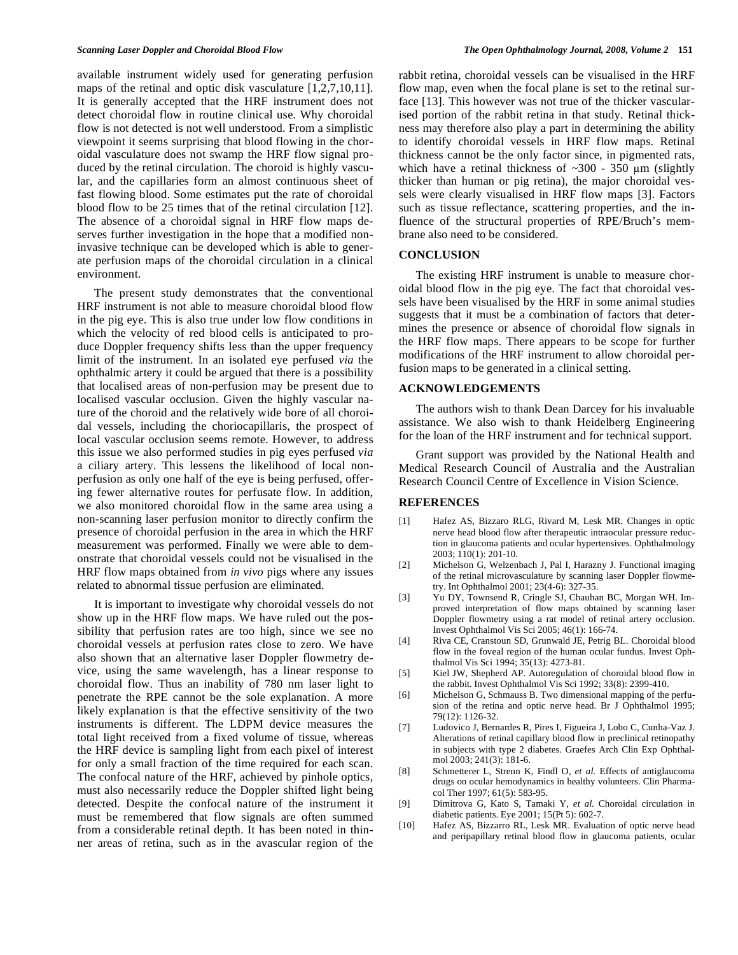available instrument widely used for generating perfusion maps of the retinal and optic disk vasculature [1,2,7,10,11]. It is generally accepted that the HRF instrument does not detect choroidal flow in routine clinical use. Why choroidal flow is not detected is not well understood. From a simplistic viewpoint it seems surprising that blood flowing in the choroidal vasculature does not swamp the HRF flow signal produced by the retinal circulation. The choroid is highly vascular, and the capillaries form an almost continuous sheet of fast flowing blood. Some estimates put the rate of choroidal blood flow to be 25 times that of the retinal circulation [12]. The absence of a choroidal signal in HRF flow maps deserves further investigation in the hope that a modified noninvasive technique can be developed which is able to generate perfusion maps of the choroidal circulation in a clinical environment.

 The present study demonstrates that the conventional HRF instrument is not able to measure choroidal blood flow in the pig eye. This is also true under low flow conditions in which the velocity of red blood cells is anticipated to produce Doppler frequency shifts less than the upper frequency limit of the instrument. In an isolated eye perfused *via* the ophthalmic artery it could be argued that there is a possibility that localised areas of non-perfusion may be present due to localised vascular occlusion. Given the highly vascular nature of the choroid and the relatively wide bore of all choroidal vessels, including the choriocapillaris, the prospect of local vascular occlusion seems remote. However, to address this issue we also performed studies in pig eyes perfused *via*  a ciliary artery. This lessens the likelihood of local nonperfusion as only one half of the eye is being perfused, offering fewer alternative routes for perfusate flow. In addition, we also monitored choroidal flow in the same area using a non-scanning laser perfusion monitor to directly confirm the presence of choroidal perfusion in the area in which the HRF measurement was performed. Finally we were able to demonstrate that choroidal vessels could not be visualised in the HRF flow maps obtained from *in vivo* pigs where any issues related to abnormal tissue perfusion are eliminated.

 It is important to investigate why choroidal vessels do not show up in the HRF flow maps. We have ruled out the possibility that perfusion rates are too high, since we see no choroidal vessels at perfusion rates close to zero. We have also shown that an alternative laser Doppler flowmetry device, using the same wavelength, has a linear response to choroidal flow. Thus an inability of 780 nm laser light to penetrate the RPE cannot be the sole explanation. A more likely explanation is that the effective sensitivity of the two instruments is different. The LDPM device measures the total light received from a fixed volume of tissue, whereas the HRF device is sampling light from each pixel of interest for only a small fraction of the time required for each scan. The confocal nature of the HRF, achieved by pinhole optics, must also necessarily reduce the Doppler shifted light being detected. Despite the confocal nature of the instrument it must be remembered that flow signals are often summed from a considerable retinal depth. It has been noted in thinner areas of retina, such as in the avascular region of the

rabbit retina, choroidal vessels can be visualised in the HRF flow map, even when the focal plane is set to the retinal surface [13]. This however was not true of the thicker vascularised portion of the rabbit retina in that study. Retinal thickness may therefore also play a part in determining the ability to identify choroidal vessels in HRF flow maps. Retinal thickness cannot be the only factor since, in pigmented rats, which have a retinal thickness of  $\sim 300$  - 350 µm (slightly thicker than human or pig retina), the major choroidal vessels were clearly visualised in HRF flow maps [3]. Factors such as tissue reflectance, scattering properties, and the influence of the structural properties of RPE/Bruch's membrane also need to be considered.

#### **CONCLUSION**

 The existing HRF instrument is unable to measure choroidal blood flow in the pig eye. The fact that choroidal vessels have been visualised by the HRF in some animal studies suggests that it must be a combination of factors that determines the presence or absence of choroidal flow signals in the HRF flow maps. There appears to be scope for further modifications of the HRF instrument to allow choroidal perfusion maps to be generated in a clinical setting.

#### **ACKNOWLEDGEMENTS**

 The authors wish to thank Dean Darcey for his invaluable assistance. We also wish to thank Heidelberg Engineering for the loan of the HRF instrument and for technical support.

 Grant support was provided by the National Health and Medical Research Council of Australia and the Australian Research Council Centre of Excellence in Vision Science.

#### **REFERENCES**

- [1] Hafez AS, Bizzaro RLG, Rivard M, Lesk MR. Changes in optic nerve head blood flow after therapeutic intraocular pressure reduction in glaucoma patients and ocular hypertensives. Ophthalmology 2003; 110(1): 201-10.
- [2] Michelson G, Welzenbach J, Pal I, Harazny J. Functional imaging of the retinal microvasculature by scanning laser Doppler flowmetry. Int Ophthalmol 2001; 23(4-6): 327-35.
- [3] Yu DY, Townsend R, Cringle SJ, Chauhan BC, Morgan WH. Improved interpretation of flow maps obtained by scanning laser Doppler flowmetry using a rat model of retinal artery occlusion. Invest Ophthalmol Vis Sci 2005; 46(1): 166-74.
- [4] Riva CE, Cranstoun SD, Grunwald JE, Petrig BL. Choroidal blood flow in the foveal region of the human ocular fundus. Invest Ophthalmol Vis Sci 1994; 35(13): 4273-81.
- [5] Kiel JW, Shepherd AP. Autoregulation of choroidal blood flow in the rabbit. Invest Ophthalmol Vis Sci 1992; 33(8): 2399-410.
- [6] Michelson G, Schmauss B. Two dimensional mapping of the perfusion of the retina and optic nerve head. Br J Ophthalmol 1995; 79(12): 1126-32.
- [7] Ludovico J, Bernardes R, Pires I, Figueira J, Lobo C, Cunha-Vaz J. Alterations of retinal capillary blood flow in preclinical retinopathy in subjects with type 2 diabetes. Graefes Arch Clin Exp Ophthalmol 2003; 241(3): 181-6.
- [8] Schmetterer L, Strenn K, Findl O, *et al.* Effects of antiglaucoma drugs on ocular hemodynamics in healthy volunteers. Clin Pharmacol Ther 1997; 61(5): 583-95.
- [9] Dimitrova G, Kato S, Tamaki Y, *et al.* Choroidal circulation in diabetic patients. Eye 2001; 15(Pt 5): 602-7.
- [10] Hafez AS, Bizzarro RL, Lesk MR. Evaluation of optic nerve head and peripapillary retinal blood flow in glaucoma patients, ocular